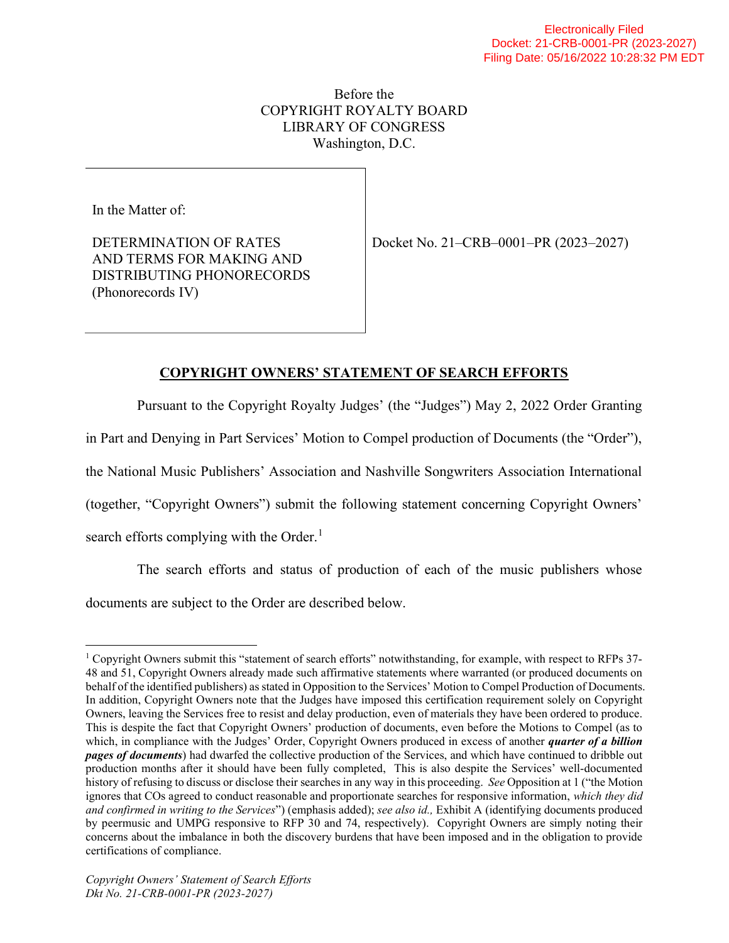# Before the COPYRIGHT ROYALTY BOARD LIBRARY OF CONGRESS Washington, D.C.

In the Matter of:

DETERMINATION OF RATES AND TERMS FOR MAKING AND DISTRIBUTING PHONORECORDS (Phonorecords IV)

Docket No. 21–CRB–0001–PR (2023–2027)

# COPYRIGHT OWNERS' STATEMENT OF SEARCH EFFORTS

Pursuant to the Copyright Royalty Judges' (the "Judges") May 2, 2022 Order Granting

in Part and Denying in Part Services' Motion to Compel production of Documents (the "Order"),

the National Music Publishers' Association and Nashville Songwriters Association International

(together, "Copyright Owners") submit the following statement concerning Copyright Owners'

search efforts complying with the Order. $<sup>1</sup>$ </sup>

The search efforts and status of production of each of the music publishers whose documents are subject to the Order are described below.

<sup>&</sup>lt;sup>1</sup> Copyright Owners submit this "statement of search efforts" notwithstanding, for example, with respect to RFPs 37-48 and 51, Copyright Owners already made such affirmative statements where warranted (or produced documents on behalf of the identified publishers) as stated in Opposition to the Services' Motion to Compel Production of Documents. In addition, Copyright Owners note that the Judges have imposed this certification requirement solely on Copyright Owners, leaving the Services free to resist and delay production, even of materials they have been ordered to produce. This is despite the fact that Copyright Owners' production of documents, even before the Motions to Compel (as to which, in compliance with the Judges' Order, Copyright Owners produced in excess of another *quarter of a billion* **pages of documents**) had dwarfed the collective production of the Services, and which have continued to dribble out production months after it should have been fully completed, This is also despite the Services' well-documented history of refusing to discuss or disclose their searches in any way in this proceeding. See Opposition at 1 ("the Motion" ignores that COs agreed to conduct reasonable and proportionate searches for responsive information, which they did and confirmed in writing to the Services") (emphasis added); see also id., Exhibit A (identifying documents produced by peermusic and UMPG responsive to RFP 30 and 74, respectively). Copyright Owners are simply noting their concerns about the imbalance in both the discovery burdens that have been imposed and in the obligation to provide certifications of compliance.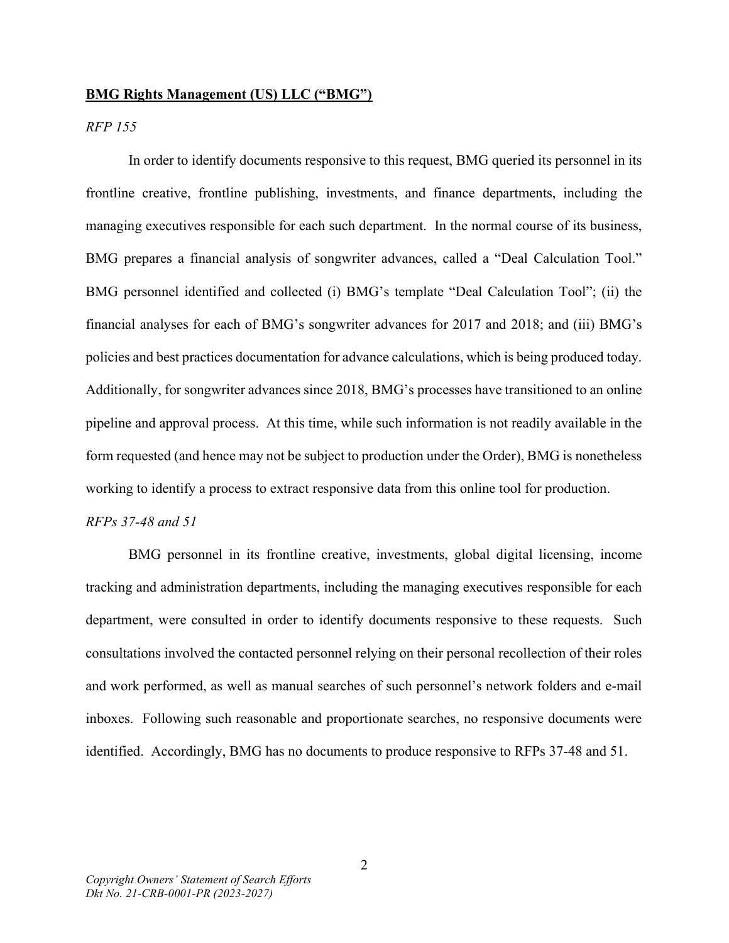#### BMG Rights Management (US) LLC ("BMG")

# RFP 155

 In order to identify documents responsive to this request, BMG queried its personnel in its frontline creative, frontline publishing, investments, and finance departments, including the managing executives responsible for each such department. In the normal course of its business, BMG prepares a financial analysis of songwriter advances, called a "Deal Calculation Tool." BMG personnel identified and collected (i) BMG's template "Deal Calculation Tool"; (ii) the financial analyses for each of BMG's songwriter advances for 2017 and 2018; and (iii) BMG's policies and best practices documentation for advance calculations, which is being produced today. Additionally, for songwriter advances since 2018, BMG's processes have transitioned to an online pipeline and approval process. At this time, while such information is not readily available in the form requested (and hence may not be subject to production under the Order), BMG is nonetheless working to identify a process to extract responsive data from this online tool for production. RFPs 37-48 and 51

BMG personnel in its frontline creative, investments, global digital licensing, income tracking and administration departments, including the managing executives responsible for each department, were consulted in order to identify documents responsive to these requests. Such consultations involved the contacted personnel relying on their personal recollection of their roles and work performed, as well as manual searches of such personnel's network folders and e-mail inboxes. Following such reasonable and proportionate searches, no responsive documents were identified. Accordingly, BMG has no documents to produce responsive to RFPs 37-48 and 51.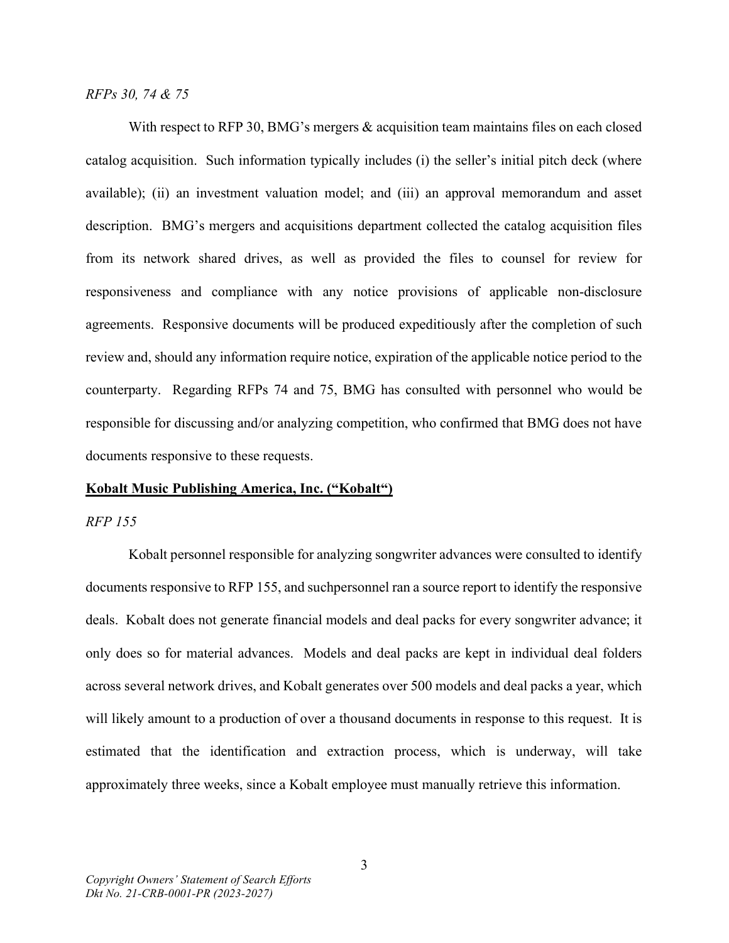RFPs 30, 74 & 75

With respect to RFP 30, BMG's mergers & acquisition team maintains files on each closed catalog acquisition. Such information typically includes (i) the seller's initial pitch deck (where available); (ii) an investment valuation model; and (iii) an approval memorandum and asset description. BMG's mergers and acquisitions department collected the catalog acquisition files from its network shared drives, as well as provided the files to counsel for review for responsiveness and compliance with any notice provisions of applicable non-disclosure agreements. Responsive documents will be produced expeditiously after the completion of such review and, should any information require notice, expiration of the applicable notice period to the counterparty. Regarding RFPs 74 and 75, BMG has consulted with personnel who would be responsible for discussing and/or analyzing competition, who confirmed that BMG does not have documents responsive to these requests.

#### Kobalt Music Publishing America, Inc. ("Kobalt")

#### RFP 155

 Kobalt personnel responsible for analyzing songwriter advances were consulted to identify documents responsive to RFP 155, and suchpersonnel ran a source report to identify the responsive deals. Kobalt does not generate financial models and deal packs for every songwriter advance; it only does so for material advances. Models and deal packs are kept in individual deal folders across several network drives, and Kobalt generates over 500 models and deal packs a year, which will likely amount to a production of over a thousand documents in response to this request. It is estimated that the identification and extraction process, which is underway, will take approximately three weeks, since a Kobalt employee must manually retrieve this information.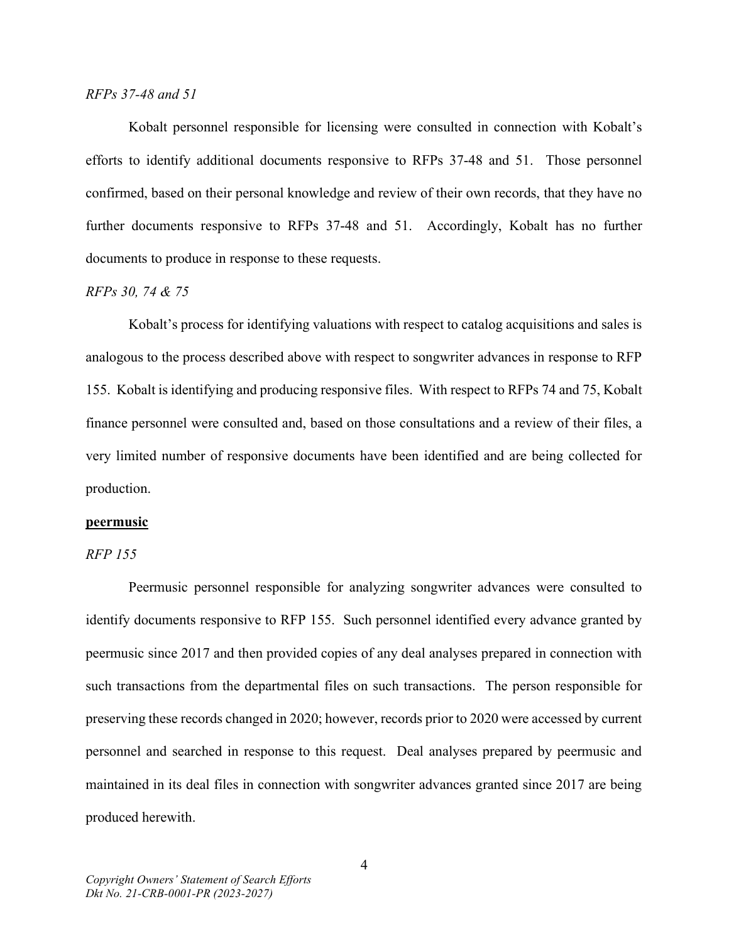#### RFPs 37-48 and 51

Kobalt personnel responsible for licensing were consulted in connection with Kobalt's efforts to identify additional documents responsive to RFPs 37-48 and 51. Those personnel confirmed, based on their personal knowledge and review of their own records, that they have no further documents responsive to RFPs 37-48 and 51. Accordingly, Kobalt has no further documents to produce in response to these requests.

#### RFPs 30, 74 & 75

Kobalt's process for identifying valuations with respect to catalog acquisitions and sales is analogous to the process described above with respect to songwriter advances in response to RFP 155. Kobalt is identifying and producing responsive files. With respect to RFPs 74 and 75, Kobalt finance personnel were consulted and, based on those consultations and a review of their files, a very limited number of responsive documents have been identified and are being collected for production.

#### peermusic

#### RFP 155

 Peermusic personnel responsible for analyzing songwriter advances were consulted to identify documents responsive to RFP 155. Such personnel identified every advance granted by peermusic since 2017 and then provided copies of any deal analyses prepared in connection with such transactions from the departmental files on such transactions. The person responsible for preserving these records changed in 2020; however, records prior to 2020 were accessed by current personnel and searched in response to this request. Deal analyses prepared by peermusic and maintained in its deal files in connection with songwriter advances granted since 2017 are being produced herewith.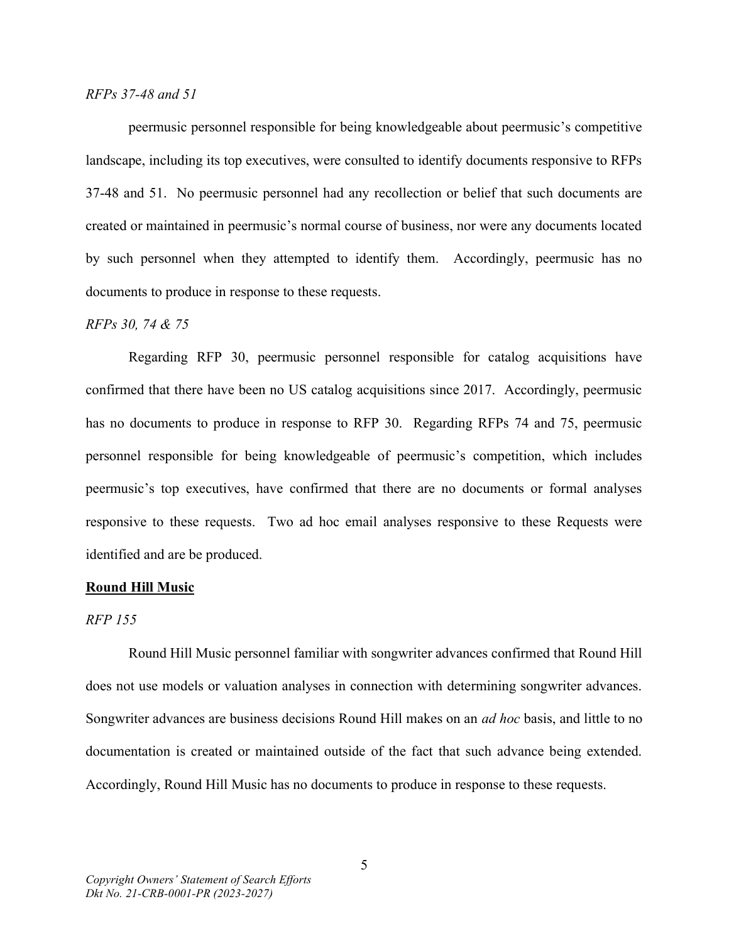#### RFPs 37-48 and 51

peermusic personnel responsible for being knowledgeable about peermusic's competitive landscape, including its top executives, were consulted to identify documents responsive to RFPs 37-48 and 51. No peermusic personnel had any recollection or belief that such documents are created or maintained in peermusic's normal course of business, nor were any documents located by such personnel when they attempted to identify them. Accordingly, peermusic has no documents to produce in response to these requests.

#### RFPs 30, 74 & 75

Regarding RFP 30, peermusic personnel responsible for catalog acquisitions have confirmed that there have been no US catalog acquisitions since 2017. Accordingly, peermusic has no documents to produce in response to RFP 30. Regarding RFPs 74 and 75, peermusic personnel responsible for being knowledgeable of peermusic's competition, which includes peermusic's top executives, have confirmed that there are no documents or formal analyses responsive to these requests. Two ad hoc email analyses responsive to these Requests were identified and are be produced.

#### Round Hill Music

#### RFP 155

 Round Hill Music personnel familiar with songwriter advances confirmed that Round Hill does not use models or valuation analyses in connection with determining songwriter advances. Songwriter advances are business decisions Round Hill makes on an ad hoc basis, and little to no documentation is created or maintained outside of the fact that such advance being extended. Accordingly, Round Hill Music has no documents to produce in response to these requests.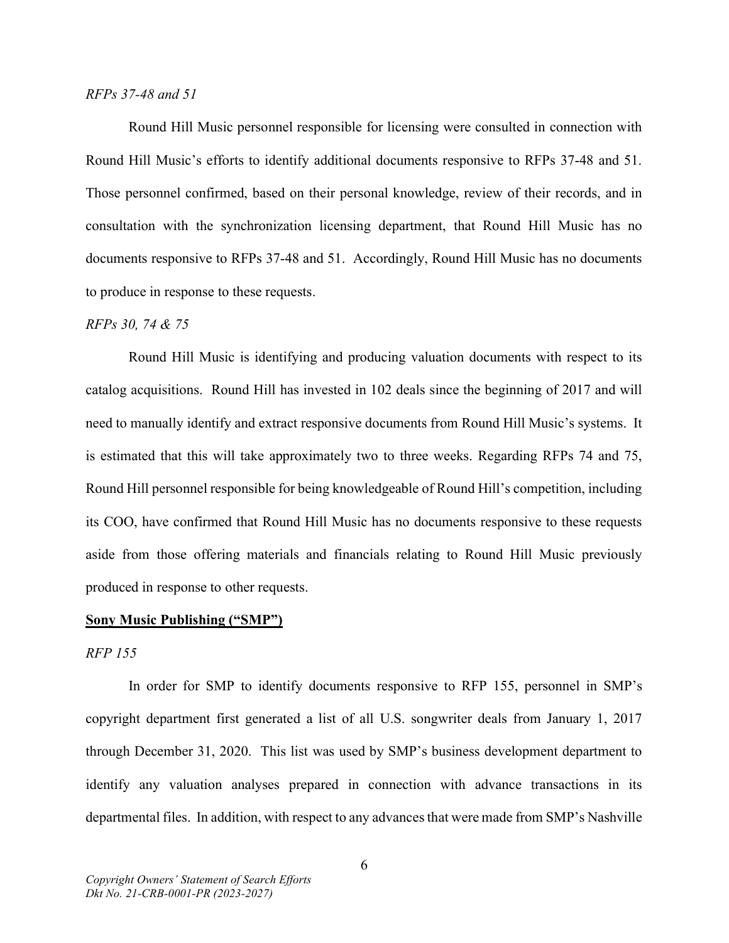#### RFPs 37-48 and 51

Round Hill Music personnel responsible for licensing were consulted in connection with Round Hill Music's efforts to identify additional documents responsive to RFPs 37-48 and 51. Those personnel confirmed, based on their personal knowledge, review of their records, and in consultation with the synchronization licensing department, that Round Hill Music has no documents responsive to RFPs 37-48 and 51. Accordingly, Round Hill Music has no documents to produce in response to these requests.

#### RFPs 30, 74 & 75

Round Hill Music is identifying and producing valuation documents with respect to its catalog acquisitions. Round Hill has invested in 102 deals since the beginning of 2017 and will need to manually identify and extract responsive documents from Round Hill Music's systems. It is estimated that this will take approximately two to three weeks. Regarding RFPs 74 and 75, Round Hill personnel responsible for being knowledgeable of Round Hill's competition, including its COO, have confirmed that Round Hill Music has no documents responsive to these requests aside from those offering materials and financials relating to Round Hill Music previously produced in response to other requests.

#### Sony Music Publishing ("SMP")

#### RFP 155

 In order for SMP to identify documents responsive to RFP 155, personnel in SMP's copyright department first generated a list of all U.S. songwriter deals from January 1, 2017 through December 31, 2020. This list was used by SMP's business development department to identify any valuation analyses prepared in connection with advance transactions in its departmental files. In addition, with respect to any advances that were made from SMP's Nashville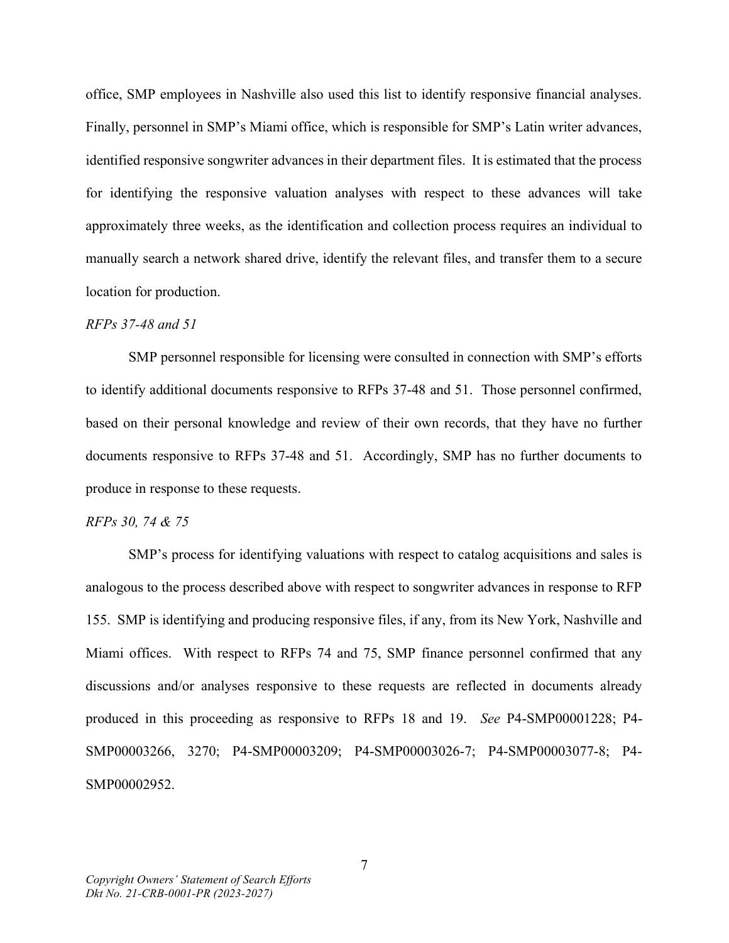office, SMP employees in Nashville also used this list to identify responsive financial analyses. Finally, personnel in SMP's Miami office, which is responsible for SMP's Latin writer advances, identified responsive songwriter advances in their department files. It is estimated that the process for identifying the responsive valuation analyses with respect to these advances will take approximately three weeks, as the identification and collection process requires an individual to manually search a network shared drive, identify the relevant files, and transfer them to a secure location for production.

#### RFPs 37-48 and 51

SMP personnel responsible for licensing were consulted in connection with SMP's efforts to identify additional documents responsive to RFPs 37-48 and 51. Those personnel confirmed, based on their personal knowledge and review of their own records, that they have no further documents responsive to RFPs 37-48 and 51. Accordingly, SMP has no further documents to produce in response to these requests.

#### RFPs 30, 74 & 75

SMP's process for identifying valuations with respect to catalog acquisitions and sales is analogous to the process described above with respect to songwriter advances in response to RFP 155. SMP is identifying and producing responsive files, if any, from its New York, Nashville and Miami offices. With respect to RFPs 74 and 75, SMP finance personnel confirmed that any discussions and/or analyses responsive to these requests are reflected in documents already produced in this proceeding as responsive to RFPs 18 and 19. See P4-SMP00001228; P4- SMP00003266, 3270; P4-SMP00003209; P4-SMP00003026-7; P4-SMP00003077-8; P4- SMP00002952.

7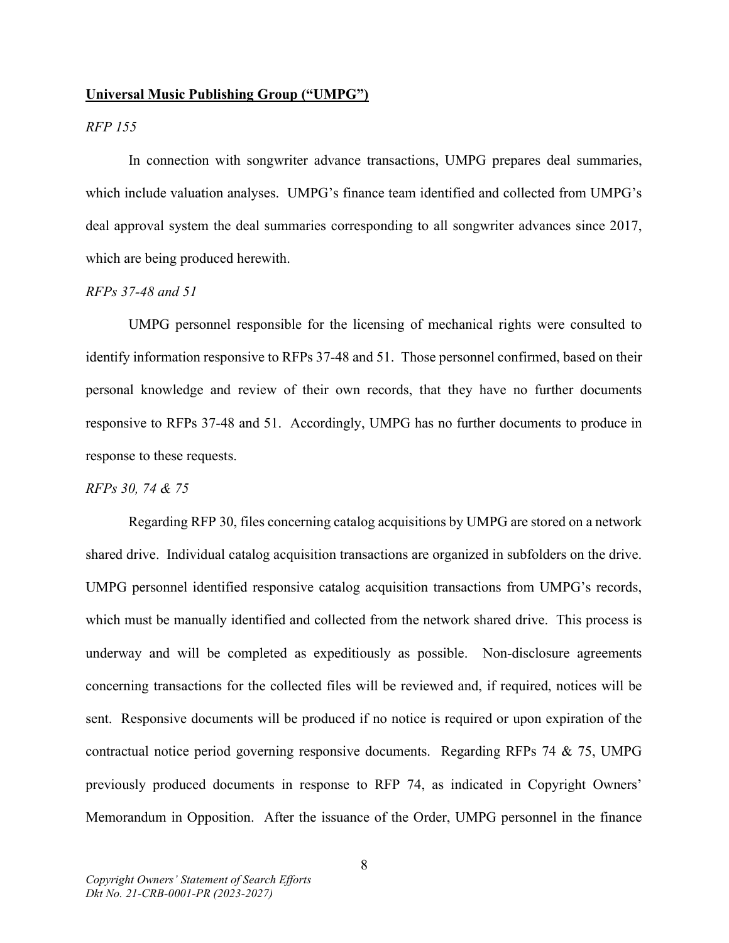#### Universal Music Publishing Group ("UMPG")

# RFP 155

 In connection with songwriter advance transactions, UMPG prepares deal summaries, which include valuation analyses. UMPG's finance team identified and collected from UMPG's deal approval system the deal summaries corresponding to all songwriter advances since 2017, which are being produced herewith.

#### RFPs 37-48 and 51

UMPG personnel responsible for the licensing of mechanical rights were consulted to identify information responsive to RFPs 37-48 and 51. Those personnel confirmed, based on their personal knowledge and review of their own records, that they have no further documents responsive to RFPs 37-48 and 51. Accordingly, UMPG has no further documents to produce in response to these requests.

#### RFPs 30, 74 & 75

Regarding RFP 30, files concerning catalog acquisitions by UMPG are stored on a network shared drive. Individual catalog acquisition transactions are organized in subfolders on the drive. UMPG personnel identified responsive catalog acquisition transactions from UMPG's records, which must be manually identified and collected from the network shared drive. This process is underway and will be completed as expeditiously as possible. Non-disclosure agreements concerning transactions for the collected files will be reviewed and, if required, notices will be sent. Responsive documents will be produced if no notice is required or upon expiration of the contractual notice period governing responsive documents. Regarding RFPs 74 & 75, UMPG previously produced documents in response to RFP 74, as indicated in Copyright Owners' Memorandum in Opposition. After the issuance of the Order, UMPG personnel in the finance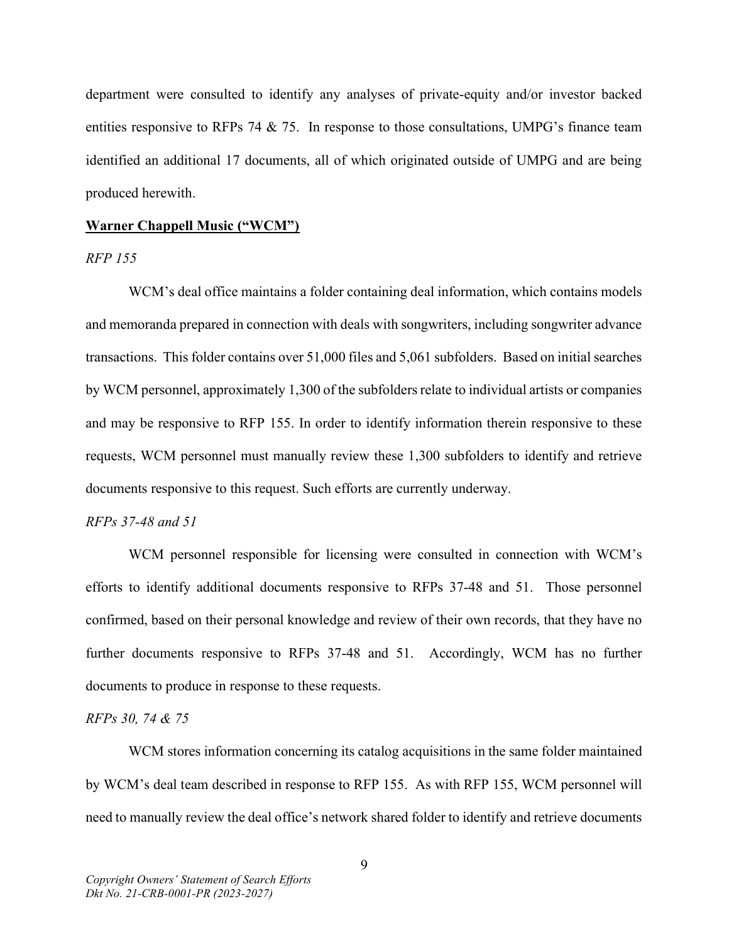department were consulted to identify any analyses of private-equity and/or investor backed entities responsive to RFPs 74 & 75. In response to those consultations, UMPG's finance team identified an additional 17 documents, all of which originated outside of UMPG and are being produced herewith.

#### Warner Chappell Music ("WCM")

### RFP 155

 WCM's deal office maintains a folder containing deal information, which contains models and memoranda prepared in connection with deals with songwriters, including songwriter advance transactions. This folder contains over 51,000 files and 5,061 subfolders. Based on initial searches by WCM personnel, approximately 1,300 of the subfolders relate to individual artists or companies and may be responsive to RFP 155. In order to identify information therein responsive to these requests, WCM personnel must manually review these 1,300 subfolders to identify and retrieve documents responsive to this request. Such efforts are currently underway.

#### RFPs 37-48 and 51

WCM personnel responsible for licensing were consulted in connection with WCM's efforts to identify additional documents responsive to RFPs 37-48 and 51. Those personnel confirmed, based on their personal knowledge and review of their own records, that they have no further documents responsive to RFPs 37-48 and 51. Accordingly, WCM has no further documents to produce in response to these requests.

#### RFPs 30, 74 & 75

WCM stores information concerning its catalog acquisitions in the same folder maintained by WCM's deal team described in response to RFP 155. As with RFP 155, WCM personnel will need to manually review the deal office's network shared folder to identify and retrieve documents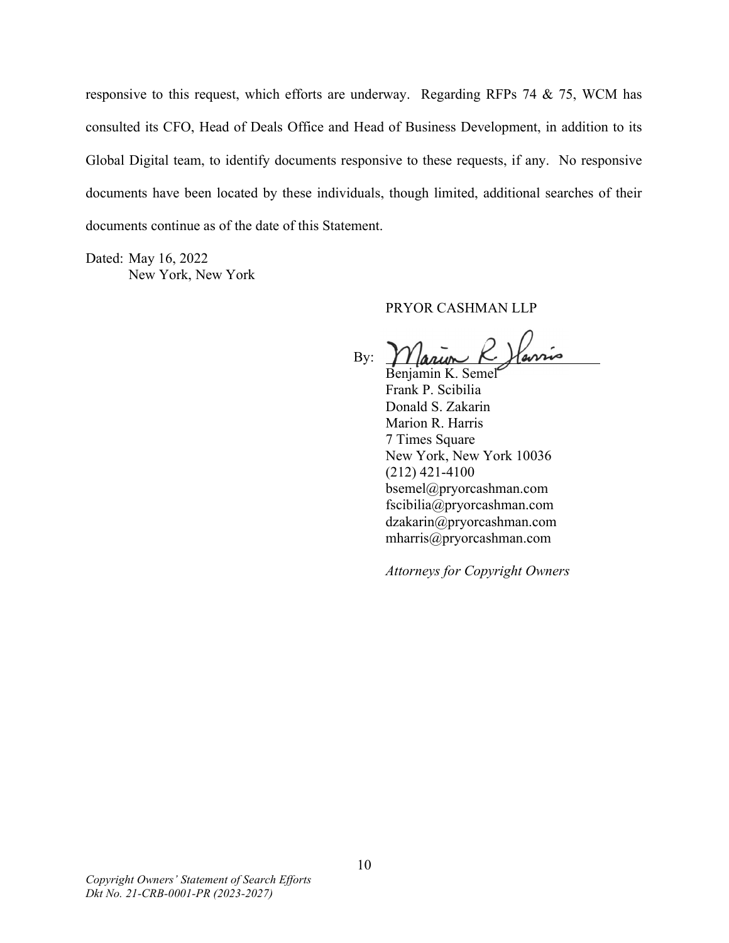responsive to this request, which efforts are underway. Regarding RFPs 74 & 75, WCM has consulted its CFO, Head of Deals Office and Head of Business Development, in addition to its Global Digital team, to identify documents responsive to these requests, if any. No responsive documents have been located by these individuals, though limited, additional searches of their documents continue as of the date of this Statement.

Dated: May 16, 2022 New York, New York

# PRYOR CASHMAN LLP

Parris By:

 Benjamin K. Semel Frank P. Scibilia Donald S. Zakarin Marion R. Harris 7 Times Square New York, New York 10036 (212) 421-4100 bsemel@pryorcashman.com fscibilia@pryorcashman.com dzakarin@pryorcashman.com mharris@pryorcashman.com

Attorneys for Copyright Owners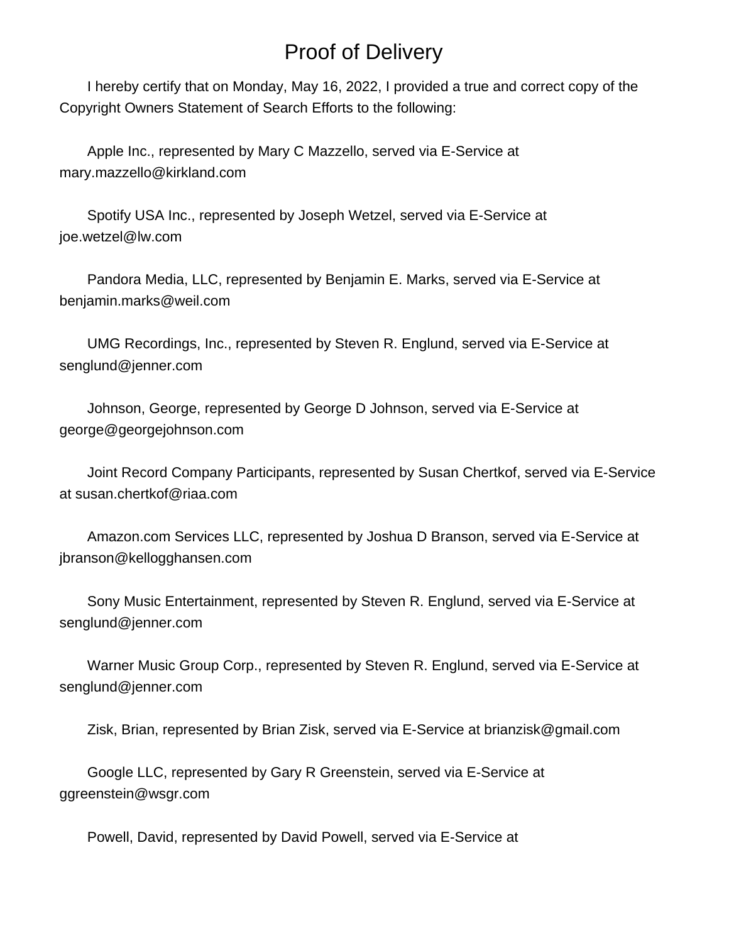# Proof of Delivery

 I hereby certify that on Monday, May 16, 2022, I provided a true and correct copy of the Copyright Owners Statement of Search Efforts to the following:

 Apple Inc., represented by Mary C Mazzello, served via E-Service at mary.mazzello@kirkland.com

 Spotify USA Inc., represented by Joseph Wetzel, served via E-Service at joe.wetzel@lw.com

 Pandora Media, LLC, represented by Benjamin E. Marks, served via E-Service at benjamin.marks@weil.com

 UMG Recordings, Inc., represented by Steven R. Englund, served via E-Service at senglund@jenner.com

 Johnson, George, represented by George D Johnson, served via E-Service at george@georgejohnson.com

 Joint Record Company Participants, represented by Susan Chertkof, served via E-Service at susan.chertkof@riaa.com

 Amazon.com Services LLC, represented by Joshua D Branson, served via E-Service at jbranson@kellogghansen.com

 Sony Music Entertainment, represented by Steven R. Englund, served via E-Service at senglund@jenner.com

 Warner Music Group Corp., represented by Steven R. Englund, served via E-Service at senglund@jenner.com

Zisk, Brian, represented by Brian Zisk, served via E-Service at brianzisk@gmail.com

 Google LLC, represented by Gary R Greenstein, served via E-Service at ggreenstein@wsgr.com

Powell, David, represented by David Powell, served via E-Service at